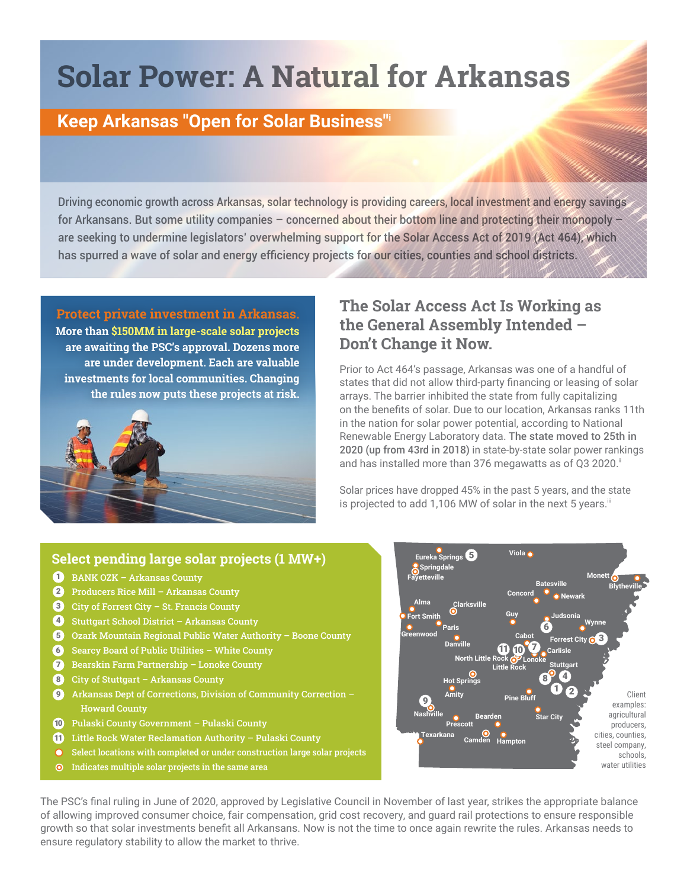# **Solar Power: A Natural for Arkansas**

## **Keep Arkansas "Open for Solar Business"i**

Driving economic growth across Arkansas, solar technology is providing careers, local investment and energy savings for Arkansans. But some utility companies – concerned about their bottom line and protecting their monopoly – are seeking to undermine legislators' overwhelming support for the Solar Access Act of 2019 (Act 464), which has spurred a wave of solar and energy efficiency projects for our cities, counties and school districts.

**Protect private investment in Arkansas.**

**More than \$150MM in large-scale solar projects are awaiting the PSC's approval. Dozens more are under development. Each are valuable investments for local communities. Changing the rules now puts these projects at risk.** 



### **The Solar Access Act Is Working as the General Assembly Intended – Don't Change it Now.**

Prior to Act 464's passage, Arkansas was one of a handful of states that did not allow third-party financing or leasing of solar arrays. The barrier inhibited the state from fully capitalizing on the benefits of solar. Due to our location, Arkansas ranks 11th in the nation for solar power potential, according to National Renewable Energy Laboratory data. The state moved to 25th in 2020 (up from 43rd in 2018) in state-by-state solar power rankings and has installed more than 376 megawatts as of Q3 2020.<sup>ii</sup>

umm

Solar prices have dropped 45% in the past 5 years, and the state is projected to add 1,106 MW of solar in the next 5 years.<sup>iii</sup>

#### **Select pending large solar projects (1 MW+)**

- **BANK OZK Arkansas County**
- $2$  Producers Rice Mill Arkansas County
- $3$  City of Forrest City St. Francis County
- 4 Stuttgart School District Arkansas County
- 5 Ozark Mountain Regional Public Water Authority Boone County
- 6 Searcy Board of Public Utilities White County
- **Bearskin Farm Partnership Lonoke County**
- City of Stuttgart Arkansas County 8
- Arkansas Dept of Corrections, Division of Community Correction Howard County **9**
- 10 Pulaski County Government Pulaski County
- $\blacksquare$  Little Rock Water Reclamation Authority Pulaski County
- $\overline{O}$ Select locations with completed or under construction large solar projects
- $\odot$  Indicates multiple solar projects in the same area



The PSC's final ruling in June of 2020, approved by Legislative Council in November of last year, strikes the appropriate balance of allowing improved consumer choice, fair compensation, grid cost recovery, and guard rail protections to ensure responsible growth so that solar investments benefit all Arkansans. Now is not the time to once again rewrite the rules. Arkansas needs to ensure regulatory stability to allow the market to thrive.